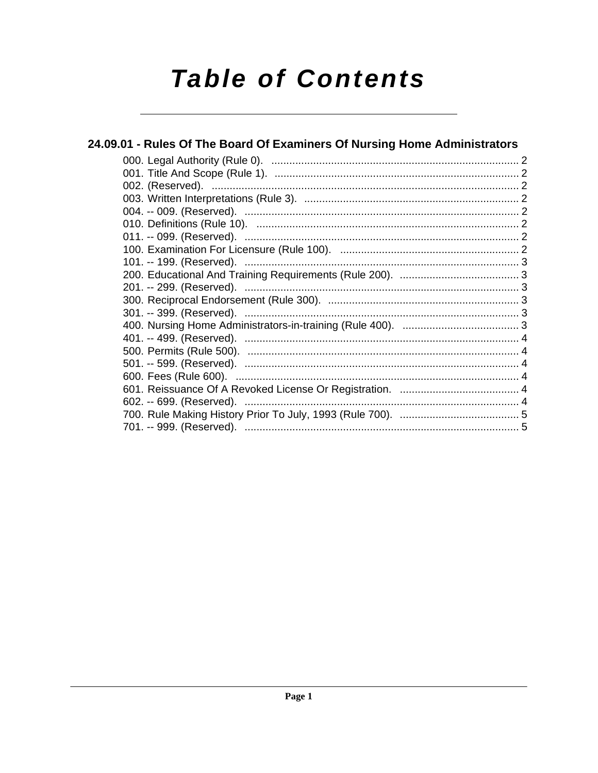# **Table of Contents**

| 24.09.01 - Rules Of The Board Of Examiners Of Nursing Home Administrators |  |  |  |
|---------------------------------------------------------------------------|--|--|--|
|                                                                           |  |  |  |
|                                                                           |  |  |  |
|                                                                           |  |  |  |
|                                                                           |  |  |  |
|                                                                           |  |  |  |
|                                                                           |  |  |  |
|                                                                           |  |  |  |
|                                                                           |  |  |  |
|                                                                           |  |  |  |
|                                                                           |  |  |  |
|                                                                           |  |  |  |
|                                                                           |  |  |  |
|                                                                           |  |  |  |
|                                                                           |  |  |  |
|                                                                           |  |  |  |
|                                                                           |  |  |  |
|                                                                           |  |  |  |
|                                                                           |  |  |  |
|                                                                           |  |  |  |
|                                                                           |  |  |  |
|                                                                           |  |  |  |
|                                                                           |  |  |  |
|                                                                           |  |  |  |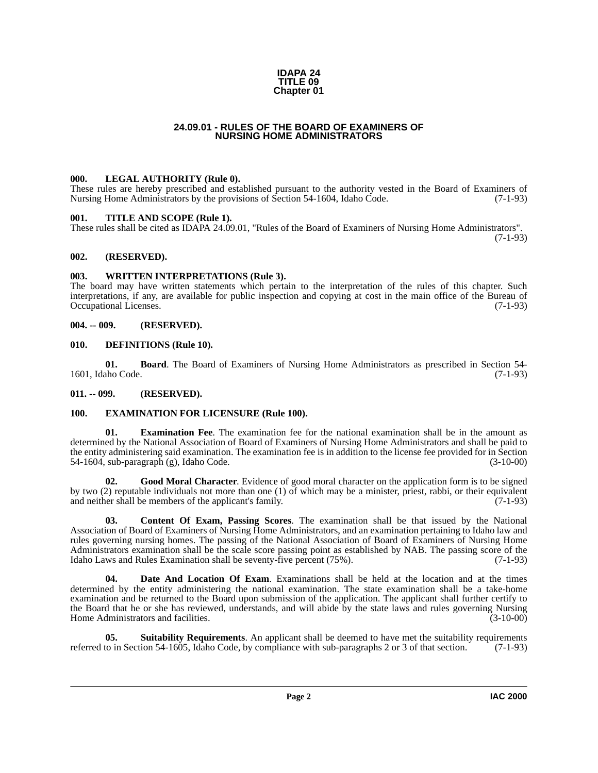#### **IDAPA 24 TITLE 09 Chapter 01**

#### **24.09.01 - RULES OF THE BOARD OF EXAMINERS OF NURSING HOME ADMINISTRATORS**

#### <span id="page-1-14"></span><span id="page-1-1"></span><span id="page-1-0"></span>**000. LEGAL AUTHORITY (Rule 0).**

These rules are hereby prescribed and established pursuant to the authority vested in the Board of Examiners of Nursing Home Administrators by the provisions of Section 54-1604, Idaho Code. (7-1-93)

#### <span id="page-1-16"></span><span id="page-1-2"></span>**001. TITLE AND SCOPE (Rule 1).**

These rules shall be cited as IDAPA 24.09.01, "Rules of the Board of Examiners of Nursing Home Administrators". (7-1-93)

<span id="page-1-3"></span>**002. (RESERVED).**

#### <span id="page-1-17"></span><span id="page-1-4"></span>**003. WRITTEN INTERPRETATIONS (Rule 3).**

The board may have written statements which pertain to the interpretation of the rules of this chapter. Such interpretations, if any, are available for public inspection and copying at cost in the main office of the Bureau of Occupational Licenses. (7-1-93)

#### <span id="page-1-5"></span>**004. -- 009. (RESERVED).**

#### <span id="page-1-11"></span><span id="page-1-6"></span>**010. DEFINITIONS (Rule 10).**

<span id="page-1-9"></span>**01. Board**. The Board of Examiners of Nursing Home Administrators as prescribed in Section 54- 1601, Idaho Code. (7-1-93)

# <span id="page-1-7"></span>**011. -- 099. (RESERVED).**

# <span id="page-1-12"></span><span id="page-1-8"></span>**100. EXAMINATION FOR LICENSURE (Rule 100).**

**01. Examination Fee**. The examination fee for the national examination shall be in the amount as determined by the National Association of Board of Examiners of Nursing Home Administrators and shall be paid to the entity administering said examination. The examination fee is in addition to the license fee provided for in Section 54-1604, sub-paragraph (g), Idaho Code. (3-10-00)

<span id="page-1-13"></span>**02. Good Moral Character**. Evidence of good moral character on the application form is to be signed by two (2) reputable individuals not more than one (1) of which may be a minister, priest, rabbi, or their equivalent and neither shall be members of the applicant's family. (7-1-93)

<span id="page-1-10"></span>**03. Content Of Exam, Passing Scores**. The examination shall be that issued by the National Association of Board of Examiners of Nursing Home Administrators, and an examination pertaining to Idaho law and rules governing nursing homes. The passing of the National Association of Board of Examiners of Nursing Home Administrators examination shall be the scale score passing point as established by NAB. The passing score of the Idaho Laws and Rules Examination shall be seventy-five percent (75%). (7-1-93) Idaho Laws and Rules Examination shall be seventy-five percent  $(75\%)$ .

**04. Date And Location Of Exam**. Examinations shall be held at the location and at the times determined by the entity administering the national examination. The state examination shall be a take-home examination and be returned to the Board upon submission of the application. The applicant shall further certify to the Board that he or she has reviewed, understands, and will abide by the state laws and rules governing Nursing<br>Home Administrators and facilities. (3-10-00) Home Administrators and facilities.

<span id="page-1-15"></span>**Suitability Requirements**. An applicant shall be deemed to have met the suitability requirements referred to in Section 54-1605, Idaho Code, by compliance with sub-paragraphs 2 or 3 of that section. (7-1-93)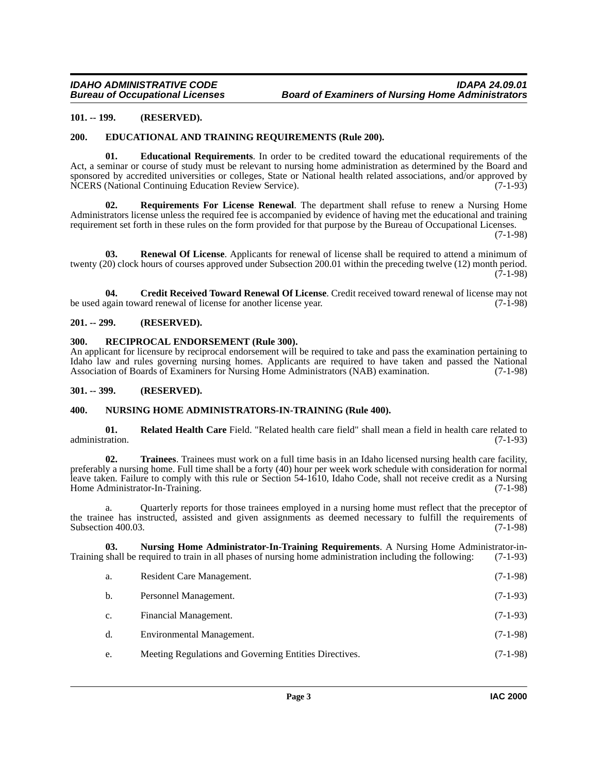# <span id="page-2-0"></span>**101. -- 199. (RESERVED).**

#### <span id="page-2-7"></span><span id="page-2-1"></span>**200. EDUCATIONAL AND TRAINING REQUIREMENTS (Rule 200).**

<span id="page-2-8"></span>**01. Educational Requirements**. In order to be credited toward the educational requirements of the Act, a seminar or course of study must be relevant to nursing home administration as determined by the Board and sponsored by accredited universities or colleges, State or National health related associations, and/or approved by NCERS (National Continuing Education Review Service). (7-1-93)

<span id="page-2-14"></span>**Requirements For License Renewal**. The department shall refuse to renew a Nursing Home Administrators license unless the required fee is accompanied by evidence of having met the educational and training requirement set forth in these rules on the form provided for that purpose by the Bureau of Occupational Licenses.

(7-1-98)

<span id="page-2-13"></span>**03. Renewal Of License**. Applicants for renewal of license shall be required to attend a minimum of twenty (20) clock hours of courses approved under Subsection 200.01 within the preceding twelve (12) month period.  $(7-1-98)$ 

<span id="page-2-6"></span>**04.** Credit Received Toward Renewal Of License. Credit received toward renewal of license may not ugain toward renewal of license for another license year. (7-1-98) be used again toward renewal of license for another license year.

# <span id="page-2-2"></span>**201. -- 299. (RESERVED).**

#### <span id="page-2-11"></span><span id="page-2-3"></span>**300. RECIPROCAL ENDORSEMENT (Rule 300).**

An applicant for licensure by reciprocal endorsement will be required to take and pass the examination pertaining to Idaho law and rules governing nursing homes. Applicants are required to have taken and passed the National Association of Boards of Examiners for Nursing Home Administrators (NAB) examination. (7-1-98)

#### <span id="page-2-4"></span>**301. -- 399. (RESERVED).**

# <span id="page-2-10"></span><span id="page-2-5"></span>**400. NURSING HOME ADMINISTRATORS-IN-TRAINING (Rule 400).**

<span id="page-2-12"></span>**01. Related Health Care** Field. "Related health care field" shall mean a field in health care related to administration.

<span id="page-2-15"></span>**02. Trainees**. Trainees must work on a full time basis in an Idaho licensed nursing health care facility, preferably a nursing home. Full time shall be a forty (40) hour per week work schedule with consideration for normal leave taken. Failure to comply with this rule or Section 54-1610, Idaho Code, shall not receive credit as a Nursing Home Administrator-In-Training. (7-1-98)

a. Quarterly reports for those trainees employed in a nursing home must reflect that the preceptor of the trainee has instructed, assisted and given assignments as deemed necessary to fulfill the requirements of Subsection 400.03. (7-1-98)

**03.** Nursing Home Administrator-In-Training Requirements. A Nursing Home Administrator-in-<br>shall be required to train in all phases of nursing home administration including the following: (7-1-93) Training shall be required to train in all phases of nursing home administration including the following:

<span id="page-2-9"></span>

| a. | Resident Care Management.                              | $(7-1-98)$ |
|----|--------------------------------------------------------|------------|
| b. | Personnel Management.                                  | $(7-1-93)$ |
| c. | Financial Management.                                  | $(7-1-93)$ |
| d. | Environmental Management.                              | $(7-1-98)$ |
| e. | Meeting Regulations and Governing Entities Directives. | $(7-1-98)$ |
|    |                                                        |            |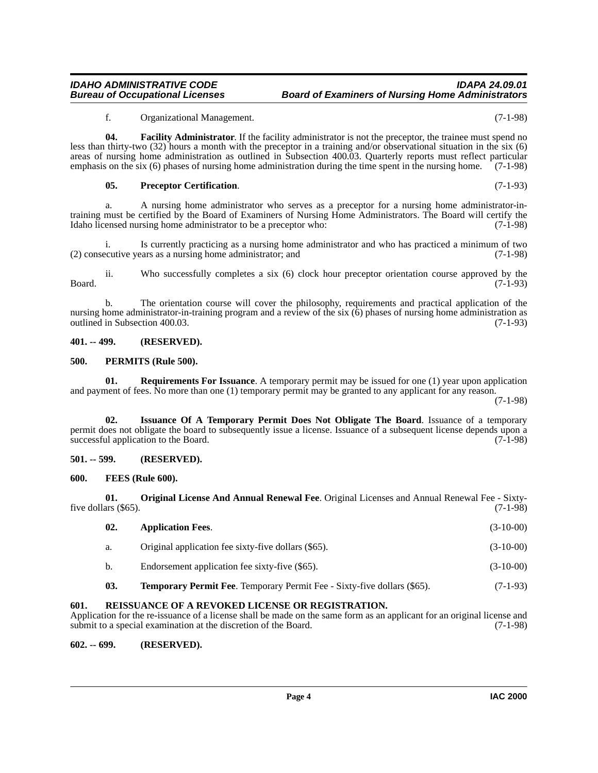<span id="page-3-7"></span>f. Organizational Management. (7-1-98)

**04.** Facility Administrator. If the facility administrator is not the preceptor, the trainee must spend no less than thirty-two (32) hours a month with the preceptor in a training and/or observational situation in the six (6) areas of nursing home administration as outlined in Subsection 400.03. Quarterly reports must reflect particular emphasis on the six (6) phases of nursing home administration during the time spent in the nursing home. (7-1-98)

#### <span id="page-3-12"></span>**05. Preceptor Certification**. (7-1-93)

a. A nursing home administrator who serves as a preceptor for a nursing home administrator-intraining must be certified by the Board of Examiners of Nursing Home Administrators. The Board will certify the Idaho licensed nursing home administrator to be a preceptor who: (7-1-98)

Is currently practicing as a nursing home administrator and who has practiced a minimum of two (2) consecutive years as a nursing home administrator; and (7-1-98)

ii. Who successfully completes a six (6) clock hour preceptor orientation course approved by the  $Board.$  (7-1-93)

b. The orientation course will cover the philosophy, requirements and practical application of the nursing home administrator-in-training program and a review of the six (6) phases of nursing home administration as outlined in Subsection 400.03. (7-1-93) outlined in Subsection 400.03.

#### <span id="page-3-0"></span>**401. -- 499. (RESERVED).**

#### <span id="page-3-11"></span><span id="page-3-1"></span>**500. PERMITS (Rule 500).**

<span id="page-3-14"></span>**01. Requirements For Issuance**. A temporary permit may be issued for one (1) year upon application and payment of fees. No more than one (1) temporary permit may be granted to any applicant for any reason.

(7-1-98)

<span id="page-3-9"></span>**02. Issuance Of A Temporary Permit Does Not Obligate The Board**. Issuance of a temporary permit does not obligate the board to subsequently issue a license. Issuance of a subsequent license depends upon a successful application to the Board. (7-1-98)

# <span id="page-3-2"></span>**501. -- 599. (RESERVED).**

#### <span id="page-3-8"></span><span id="page-3-3"></span>**600. FEES (Rule 600).**

**01. Original License And Annual Renewal Fee**. Original Licenses and Annual Renewal Fee - Sixtyfive dollars  $(\$65)$ . (7-1-98)

<span id="page-3-15"></span><span id="page-3-10"></span><span id="page-3-6"></span>

| 02.           | <b>Application Fees.</b>                                                       | $(3-10-00)$ |
|---------------|--------------------------------------------------------------------------------|-------------|
| a.            | Original application fee sixty-five dollars (\$65).                            | $(3-10-00)$ |
| $\mathbf b$ . | Endorsement application fee sixty-five (\$65).                                 | $(3-10-00)$ |
| 03.           | <b>Temporary Permit Fee.</b> Temporary Permit Fee - Sixty-five dollars (\$65). | $(7-1-93)$  |

# <span id="page-3-13"></span><span id="page-3-4"></span>**601. REISSUANCE OF A REVOKED LICENSE OR REGISTRATION.**

Application for the re-issuance of a license shall be made on the same form as an applicant for an original license and submit to a special examination at the discretion of the Board. (7-1-98)

# <span id="page-3-5"></span>**602. -- 699. (RESERVED).**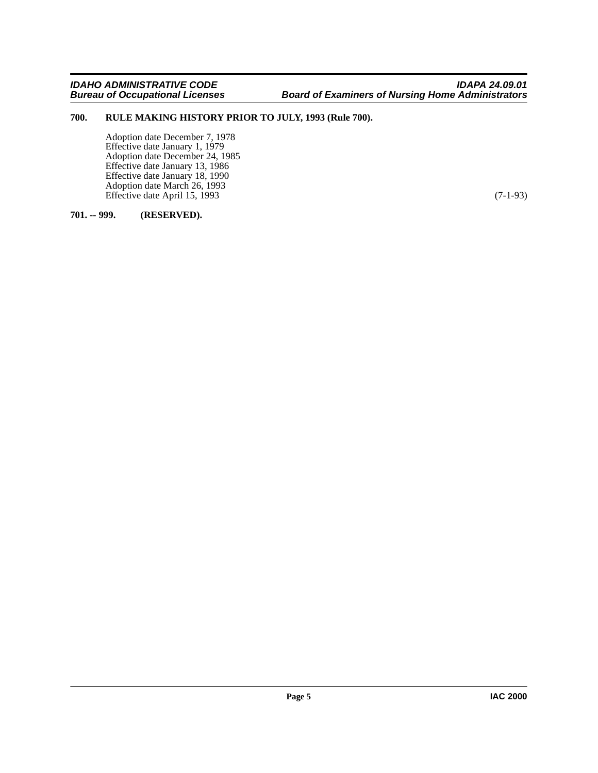# <span id="page-4-0"></span>**700. RULE MAKING HISTORY PRIOR TO JULY, 1993 (Rule 700).**

<span id="page-4-2"></span>Adoption date December 7, 1978 Effective date January 1, 1979 Adoption date December 24, 1985 Effective date January 13, 1986 Effective date January 18, 1990 Adoption date March 26, 1993 Effective date April 15, 1993 (7-1-93)

# <span id="page-4-1"></span>**701. -- 999. (RESERVED).**